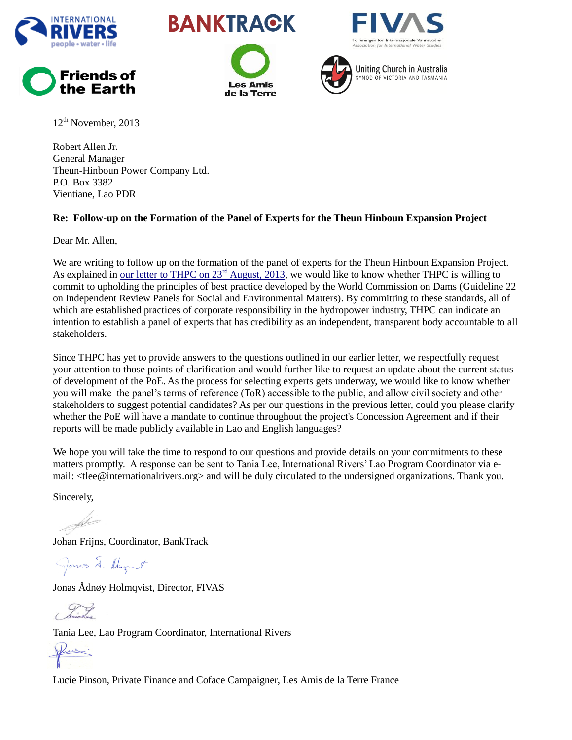





**Les Amis** de la Terre





 $12<sup>th</sup>$  November, 2013

Robert Allen Jr. General Manager Theun-Hinboun Power Company Ltd. P.O. Box 3382 Vientiane, Lao PDR

## **Re: Follow-up on the Formation of the Panel of Experts for the Theun Hinboun Expansion Project**

Dear Mr. Allen,

We are writing to follow up on the formation of the panel of experts for the Theun Hinboun Expansion Project. As explained in [our letter to THPC on 23](http://www.internationalrivers.org/node/8066)<sup>rd</sup> August, 2013, we would like to know whether THPC is willing to commit to upholding the principles of best practice developed by the World Commission on Dams (Guideline 22 on Independent Review Panels for Social and Environmental Matters). By committing to these standards, all of which are established practices of corporate responsibility in the hydropower industry, THPC can indicate an intention to establish a panel of experts that has credibility as an independent, transparent body accountable to all stakeholders.

Since THPC has yet to provide answers to the questions outlined in our earlier letter, we respectfully request your attention to those points of clarification and would further like to request an update about the current status of development of the PoE. As the process for selecting experts gets underway, we would like to know whether you will make the panel's terms of reference (ToR) accessible to the public, and allow civil society and other stakeholders to suggest potential candidates? As per our questions in the previous letter, could you please clarify whether the PoE will have a mandate to continue throughout the project's Concession Agreement and if their reports will be made publicly available in Lao and English languages?

We hope you will take the time to respond to our questions and provide details on your commitments to these matters promptly. A response can be sent to Tania Lee, International Rivers' Lao Program Coordinator via email: <tlee@internationalrivers.org> and will be duly circulated to the undersigned organizations. Thank you.

Sincerely,

Johan Frijns, Coordinator, BankTrack

Jonas J. Hugant

Jonas Ådnøy Holmqvist, Director, FIVAS

Tania Lee, Lao Program Coordinator, International Rivers

June :

Lucie Pinson, Private Finance and Coface Campaigner, Les Amis de la Terre France